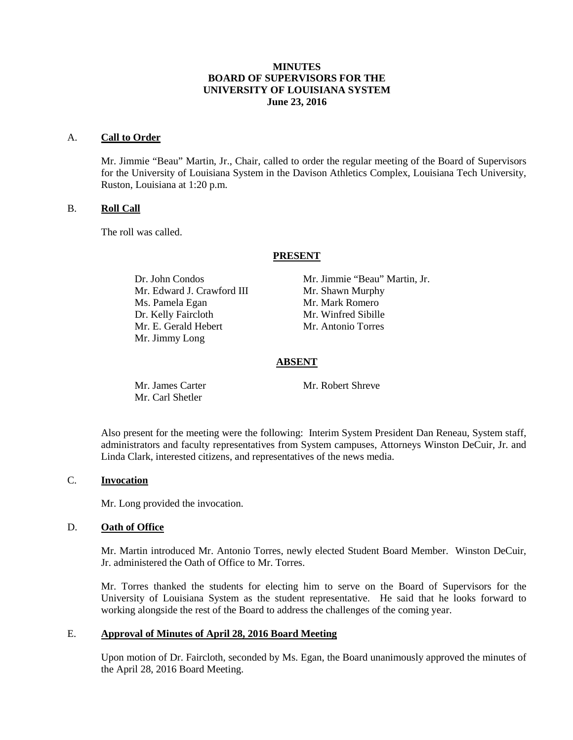# **MINUTES BOARD OF SUPERVISORS FOR THE UNIVERSITY OF LOUISIANA SYSTEM June 23, 2016**

#### A. **Call to Order**

Mr. Jimmie "Beau" Martin, Jr., Chair, called to order the regular meeting of the Board of Supervisors for the University of Louisiana System in the Davison Athletics Complex, Louisiana Tech University, Ruston, Louisiana at 1:20 p.m.

#### B. **Roll Call**

The roll was called.

#### **PRESENT**

Mr. Edward J. Crawford III Mr. Shawn Murphy Ms. Pamela Egan Mr. Mark Romero Dr. Kelly Faircloth Mr. Winfred Sibille Mr. E. Gerald Hebert Mr. Antonio Torres Mr. Jimmy Long

Dr. John Condos Mr. Jimmie "Beau" Martin, Jr.

### **ABSENT**

Mr. Carl Shetler

Mr. James Carter Mr. Robert Shreve

Also present for the meeting were the following: Interim System President Dan Reneau, System staff, administrators and faculty representatives from System campuses, Attorneys Winston DeCuir, Jr. and Linda Clark, interested citizens, and representatives of the news media.

# C. **Invocation**

Mr. Long provided the invocation.

### D. **Oath of Office**

Mr. Martin introduced Mr. Antonio Torres, newly elected Student Board Member. Winston DeCuir, Jr. administered the Oath of Office to Mr. Torres.

Mr. Torres thanked the students for electing him to serve on the Board of Supervisors for the University of Louisiana System as the student representative. He said that he looks forward to working alongside the rest of the Board to address the challenges of the coming year.

### E. **Approval of Minutes of April 28, 2016 Board Meeting**

Upon motion of Dr. Faircloth, seconded by Ms. Egan, the Board unanimously approved the minutes of the April 28, 2016 Board Meeting.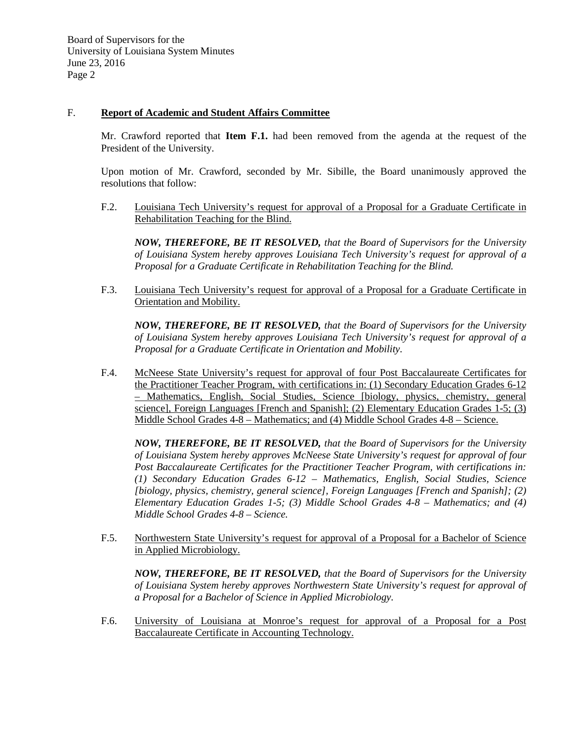# F. **Report of Academic and Student Affairs Committee**

Mr. Crawford reported that **Item F.1.** had been removed from the agenda at the request of the President of the University.

Upon motion of Mr. Crawford, seconded by Mr. Sibille, the Board unanimously approved the resolutions that follow:

F.2. Louisiana Tech University's request for approval of a Proposal for a Graduate Certificate in Rehabilitation Teaching for the Blind.

*NOW, THEREFORE, BE IT RESOLVED, that the Board of Supervisors for the University of Louisiana System hereby approves Louisiana Tech University's request for approval of a Proposal for a Graduate Certificate in Rehabilitation Teaching for the Blind.*

F.3. Louisiana Tech University's request for approval of a Proposal for a Graduate Certificate in Orientation and Mobility.

*NOW, THEREFORE, BE IT RESOLVED, that the Board of Supervisors for the University of Louisiana System hereby approves Louisiana Tech University's request for approval of a Proposal for a Graduate Certificate in Orientation and Mobility.*

F.4. McNeese State University's request for approval of four Post Baccalaureate Certificates for the Practitioner Teacher Program, with certifications in: (1) Secondary Education Grades 6-12 – Mathematics, English, Social Studies, Science [biology, physics, chemistry, general science], Foreign Languages [French and Spanish]; (2) Elementary Education Grades 1-5; (3) Middle School Grades 4-8 – Mathematics; and (4) Middle School Grades 4-8 – Science.

*NOW, THEREFORE, BE IT RESOLVED, that the Board of Supervisors for the University of Louisiana System hereby approves McNeese State University's request for approval of four Post Baccalaureate Certificates for the Practitioner Teacher Program, with certifications in: (1) Secondary Education Grades 6-12 – Mathematics, English, Social Studies, Science [biology, physics, chemistry, general science], Foreign Languages [French and Spanish]; (2) Elementary Education Grades 1-5; (3) Middle School Grades 4-8 – Mathematics; and (4) Middle School Grades 4-8 – Science.* 

F.5. Northwestern State University's request for approval of a Proposal for a Bachelor of Science in Applied Microbiology.

*NOW, THEREFORE, BE IT RESOLVED, that the Board of Supervisors for the University of Louisiana System hereby approves Northwestern State University's request for approval of a Proposal for a Bachelor of Science in Applied Microbiology.*

F.6. University of Louisiana at Monroe's request for approval of a Proposal for a Post Baccalaureate Certificate in Accounting Technology.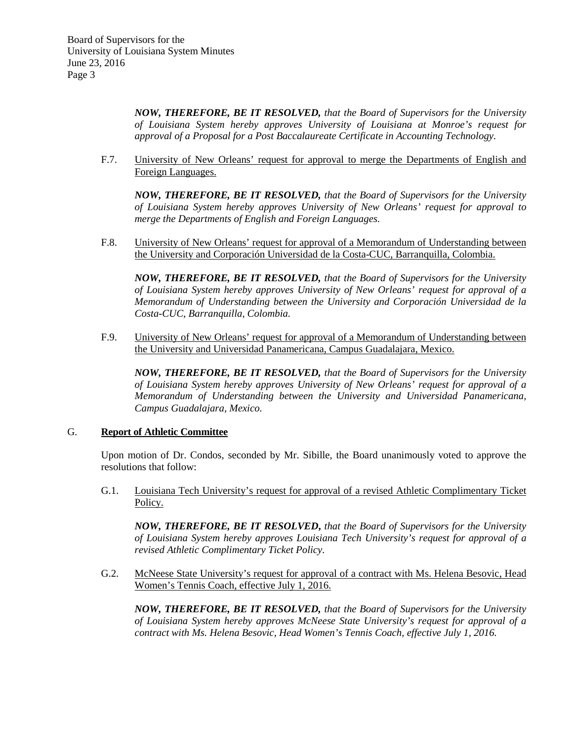*NOW, THEREFORE, BE IT RESOLVED, that the Board of Supervisors for the University of Louisiana System hereby approves University of Louisiana at Monroe's request for approval of a Proposal for a Post Baccalaureate Certificate in Accounting Technology.* 

F.7. University of New Orleans' request for approval to merge the Departments of English and Foreign Languages.

*NOW, THEREFORE, BE IT RESOLVED, that the Board of Supervisors for the University of Louisiana System hereby approves University of New Orleans' request for approval to merge the Departments of English and Foreign Languages.*

F.8. University of New Orleans' request for approval of a Memorandum of Understanding between the University and Corporación Universidad de la Costa-CUC, Barranquilla, Colombia.

*NOW, THEREFORE, BE IT RESOLVED, that the Board of Supervisors for the University of Louisiana System hereby approves University of New Orleans' request for approval of a Memorandum of Understanding between the University and Corporación Universidad de la Costa-CUC, Barranquilla, Colombia.* 

F.9. University of New Orleans' request for approval of a Memorandum of Understanding between the University and Universidad Panamericana, Campus Guadalajara, Mexico.

*NOW, THEREFORE, BE IT RESOLVED, that the Board of Supervisors for the University of Louisiana System hereby approves University of New Orleans' request for approval of a Memorandum of Understanding between the University and Universidad Panamericana, Campus Guadalajara, Mexico.* 

# G. **Report of Athletic Committee**

Upon motion of Dr. Condos, seconded by Mr. Sibille, the Board unanimously voted to approve the resolutions that follow:

G.1. Louisiana Tech University's request for approval of a revised Athletic Complimentary Ticket Policy.

*NOW, THEREFORE, BE IT RESOLVED***,** *that the Board of Supervisors for the University of Louisiana System hereby approves Louisiana Tech University's request for approval of a revised Athletic Complimentary Ticket Policy.* 

G.2. McNeese State University's request for approval of a contract with Ms. Helena Besovic, Head Women's Tennis Coach, effective July 1, 2016.

*NOW, THEREFORE, BE IT RESOLVED, that the Board of Supervisors for the University of Louisiana System hereby approves McNeese State University's request for approval of a contract with Ms. Helena Besovic, Head Women's Tennis Coach, effective July 1, 2016.*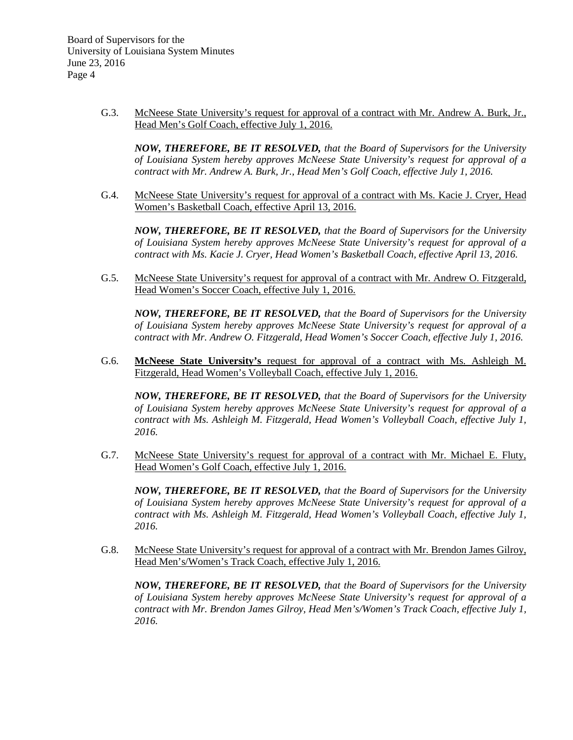G.3. McNeese State University's request for approval of a contract with Mr. Andrew A. Burk, Jr., Head Men's Golf Coach, effective July 1, 2016.

*NOW, THEREFORE, BE IT RESOLVED, that the Board of Supervisors for the University of Louisiana System hereby approves McNeese State University's request for approval of a contract with Mr. Andrew A. Burk, Jr., Head Men's Golf Coach, effective July 1, 2016.*

G.4. McNeese State University's request for approval of a contract with Ms. Kacie J. Cryer, Head Women's Basketball Coach, effective April 13, 2016.

*NOW, THEREFORE, BE IT RESOLVED, that the Board of Supervisors for the University of Louisiana System hereby approves McNeese State University's request for approval of a contract with Ms. Kacie J. Cryer, Head Women's Basketball Coach, effective April 13, 2016.*

G.5. McNeese State University's request for approval of a contract with Mr. Andrew O. Fitzgerald, Head Women's Soccer Coach, effective July 1, 2016.

*NOW, THEREFORE, BE IT RESOLVED, that the Board of Supervisors for the University of Louisiana System hereby approves McNeese State University's request for approval of a contract with Mr. Andrew O. Fitzgerald, Head Women's Soccer Coach, effective July 1, 2016.*

G.6. **McNeese State University's** request for approval of a contract with Ms. Ashleigh M. Fitzgerald, Head Women's Volleyball Coach, effective July 1, 2016.

*NOW, THEREFORE, BE IT RESOLVED, that the Board of Supervisors for the University of Louisiana System hereby approves McNeese State University's request for approval of a contract with Ms. Ashleigh M. Fitzgerald, Head Women's Volleyball Coach, effective July 1, 2016.*

G.7. McNeese State University's request for approval of a contract with Mr. Michael E. Fluty, Head Women's Golf Coach, effective July 1, 2016.

*NOW, THEREFORE, BE IT RESOLVED, that the Board of Supervisors for the University of Louisiana System hereby approves McNeese State University's request for approval of a contract with Ms. Ashleigh M. Fitzgerald, Head Women's Volleyball Coach, effective July 1, 2016.*

G.8. McNeese State University's request for approval of a contract with Mr. Brendon James Gilroy, Head Men's/Women's Track Coach, effective July 1, 2016.

*NOW, THEREFORE, BE IT RESOLVED, that the Board of Supervisors for the University of Louisiana System hereby approves McNeese State University's request for approval of a contract with Mr. Brendon James Gilroy, Head Men's/Women's Track Coach, effective July 1, 2016.*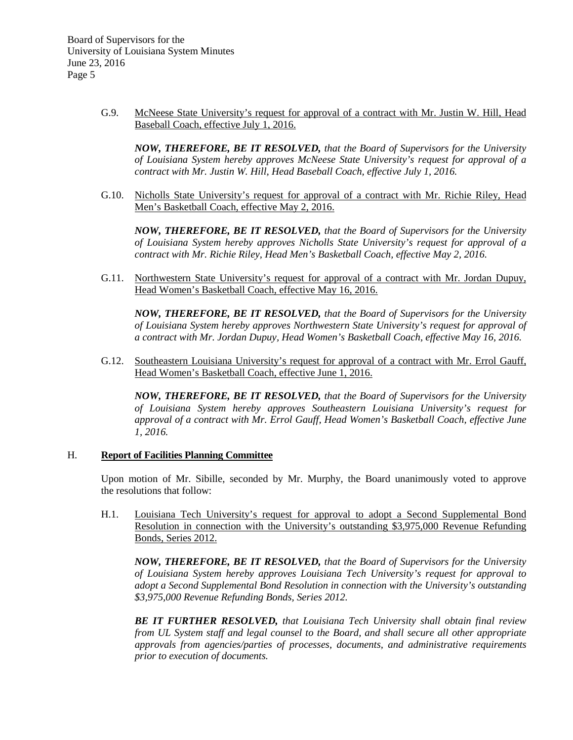G.9. McNeese State University's request for approval of a contract with Mr. Justin W. Hill, Head Baseball Coach, effective July 1, 2016.

*NOW, THEREFORE, BE IT RESOLVED, that the Board of Supervisors for the University of Louisiana System hereby approves McNeese State University's request for approval of a contract with Mr. Justin W. Hill, Head Baseball Coach, effective July 1, 2016.*

G.10. Nicholls State University's request for approval of a contract with Mr. Richie Riley, Head Men's Basketball Coach, effective May 2, 2016.

*NOW, THEREFORE, BE IT RESOLVED, that the Board of Supervisors for the University of Louisiana System hereby approves Nicholls State University's request for approval of a contract with Mr. Richie Riley, Head Men's Basketball Coach, effective May 2, 2016.*

G.11. Northwestern State University's request for approval of a contract with Mr. Jordan Dupuy, Head Women's Basketball Coach, effective May 16, 2016.

*NOW, THEREFORE, BE IT RESOLVED, that the Board of Supervisors for the University of Louisiana System hereby approves Northwestern State University's request for approval of a contract with Mr. Jordan Dupuy, Head Women's Basketball Coach, effective May 16, 2016.*

G.12. Southeastern Louisiana University's request for approval of a contract with Mr. Errol Gauff, Head Women's Basketball Coach, effective June 1, 2016.

*NOW, THEREFORE, BE IT RESOLVED, that the Board of Supervisors for the University of Louisiana System hereby approves Southeastern Louisiana University's request for approval of a contract with Mr. Errol Gauff, Head Women's Basketball Coach, effective June 1, 2016.*

# H. **Report of Facilities Planning Committee**

Upon motion of Mr. Sibille, seconded by Mr. Murphy, the Board unanimously voted to approve the resolutions that follow:

H.1. Louisiana Tech University's request for approval to adopt a Second Supplemental Bond Resolution in connection with the University's outstanding \$3,975,000 Revenue Refunding Bonds, Series 2012.

*NOW, THEREFORE, BE IT RESOLVED, that the Board of Supervisors for the University of Louisiana System hereby approves Louisiana Tech University's request for approval to adopt a Second Supplemental Bond Resolution in connection with the University's outstanding \$3,975,000 Revenue Refunding Bonds, Series 2012.*

*BE IT FURTHER RESOLVED, that Louisiana Tech University shall obtain final review from UL System staff and legal counsel to the Board, and shall secure all other appropriate approvals from agencies/parties of processes, documents, and administrative requirements prior to execution of documents.*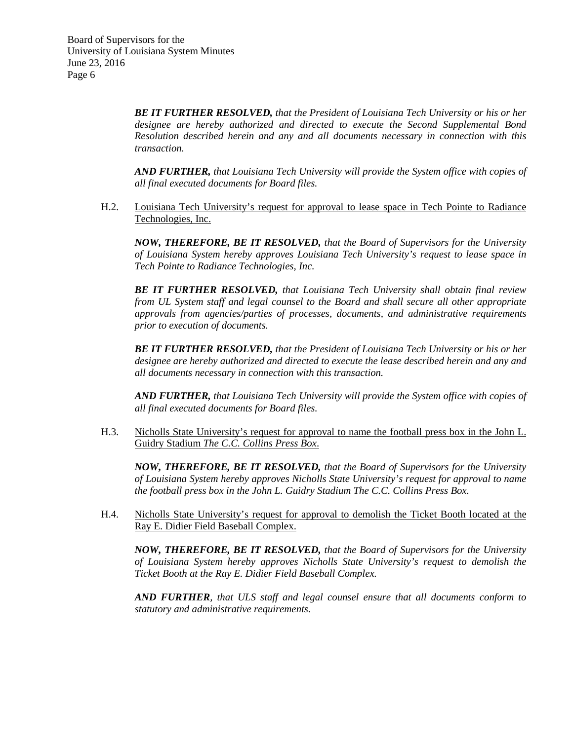*BE IT FURTHER RESOLVED, that the President of Louisiana Tech University or his or her designee are hereby authorized and directed to execute the Second Supplemental Bond Resolution described herein and any and all documents necessary in connection with this transaction.*

*AND FURTHER, that Louisiana Tech University will provide the System office with copies of all final executed documents for Board files.*

H.2. Louisiana Tech University's request for approval to lease space in Tech Pointe to Radiance Technologies, Inc.

*NOW, THEREFORE, BE IT RESOLVED, that the Board of Supervisors for the University of Louisiana System hereby approves Louisiana Tech University's request to lease space in Tech Pointe to Radiance Technologies, Inc.*

*BE IT FURTHER RESOLVED, that Louisiana Tech University shall obtain final review from UL System staff and legal counsel to the Board and shall secure all other appropriate approvals from agencies/parties of processes, documents, and administrative requirements prior to execution of documents.* 

*BE IT FURTHER RESOLVED, that the President of Louisiana Tech University or his or her designee are hereby authorized and directed to execute the lease described herein and any and all documents necessary in connection with this transaction.*

*AND FURTHER, that Louisiana Tech University will provide the System office with copies of all final executed documents for Board files.*

H.3. Nicholls State University's request for approval to name the football press box in the John L. Guidry Stadium *The C.C. Collins Press Box*.

*NOW, THEREFORE, BE IT RESOLVED, that the Board of Supervisors for the University of Louisiana System hereby approves Nicholls State University's request for approval to name the football press box in the John L. Guidry Stadium The C.C. Collins Press Box.* 

H.4. Nicholls State University's request for approval to demolish the Ticket Booth located at the Ray E. Didier Field Baseball Complex.

*NOW, THEREFORE, BE IT RESOLVED, that the Board of Supervisors for the University of Louisiana System hereby approves Nicholls State University's request to demolish the Ticket Booth at the Ray E. Didier Field Baseball Complex.*

*AND FURTHER, that ULS staff and legal counsel ensure that all documents conform to statutory and administrative requirements.*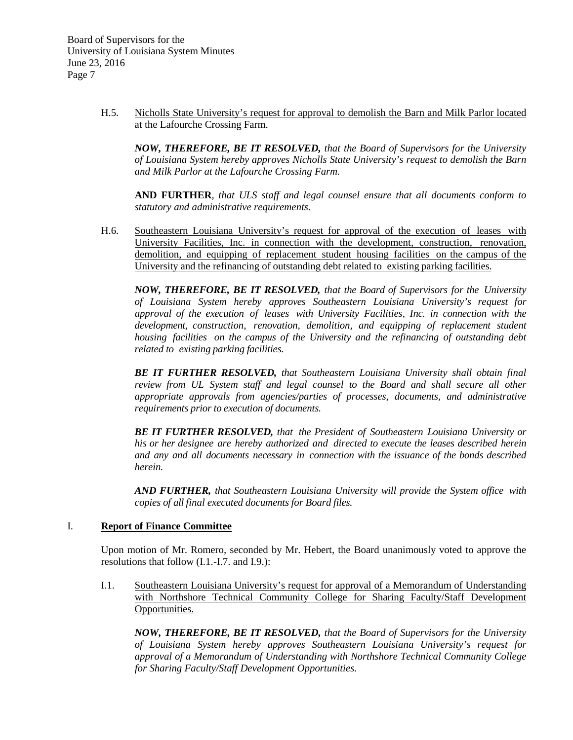> H.5. Nicholls State University's request for approval to demolish the Barn and Milk Parlor located at the Lafourche Crossing Farm.

*NOW, THEREFORE, BE IT RESOLVED, that the Board of Supervisors for the University of Louisiana System hereby approves Nicholls State University's request to demolish the Barn and Milk Parlor at the Lafourche Crossing Farm.*

**AND FURTHER***, that ULS staff and legal counsel ensure that all documents conform to statutory and administrative requirements.*

H.6. Southeastern Louisiana University's request for approval of the execution of leases with University Facilities, Inc. in connection with the development, construction, renovation, demolition, and equipping of replacement student housing facilities on the campus of the University and the refinancing of outstanding debt related to existing parking facilities.

*NOW, THEREFORE, BE IT RESOLVED, that the Board of Supervisors for the University of Louisiana System hereby approves Southeastern Louisiana University's request for approval of the execution of leases with University Facilities, Inc. in connection with the development, construction, renovation, demolition, and equipping of replacement student housing facilities on the campus of the University and the refinancing of outstanding debt related to existing parking facilities.*

*BE IT FURTHER RESOLVED, that Southeastern Louisiana University shall obtain final review from UL System staff and legal counsel to the Board and shall secure all other appropriate approvals from agencies/parties of processes, documents, and administrative requirements prior to execution of documents.*

*BE IT FURTHER RESOLVED, that the President of Southeastern Louisiana University or his or her designee are hereby authorized and directed to execute the leases described herein and any and all documents necessary in connection with the issuance of the bonds described herein.*

*AND FURTHER, that Southeastern Louisiana University will provide the System office with copies of all final executed documents for Board files.*

#### I. **Report of Finance Committee**

Upon motion of Mr. Romero, seconded by Mr. Hebert, the Board unanimously voted to approve the resolutions that follow (I.1.-I.7. and I.9.):

I.1. Southeastern Louisiana University's request for approval of a Memorandum of Understanding with Northshore Technical Community College for Sharing Faculty/Staff Development Opportunities.

*NOW, THEREFORE, BE IT RESOLVED, that the Board of Supervisors for the University of Louisiana System hereby approves Southeastern Louisiana University's request for approval of a Memorandum of Understanding with Northshore Technical Community College for Sharing Faculty/Staff Development Opportunities.*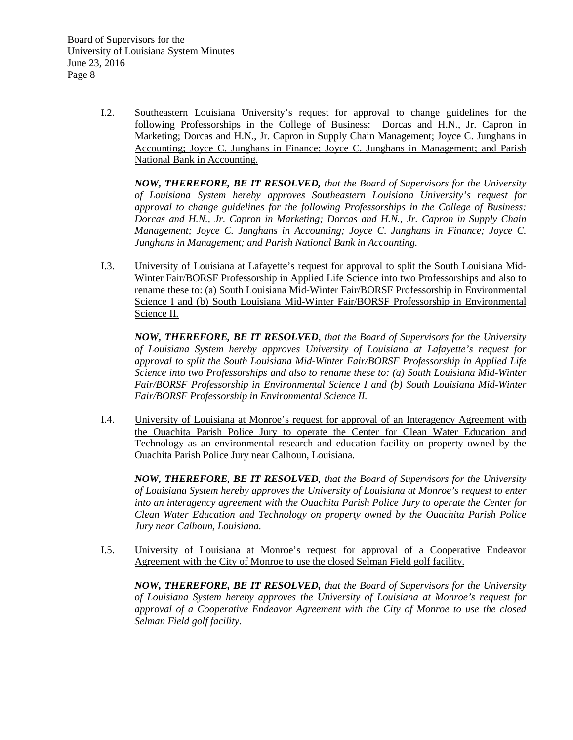> I.2. Southeastern Louisiana University's request for approval to change guidelines for the following Professorships in the College of Business: Dorcas and H.N., Jr. Capron in Marketing; Dorcas and H.N., Jr. Capron in Supply Chain Management; Joyce C. Junghans in Accounting; Joyce C. Junghans in Finance; Joyce C. Junghans in Management; and Parish National Bank in Accounting.

*NOW, THEREFORE, BE IT RESOLVED, that the Board of Supervisors for the University of Louisiana System hereby approves Southeastern Louisiana University's request for approval to change guidelines for the following Professorships in the College of Business: Dorcas and H.N., Jr. Capron in Marketing; Dorcas and H.N., Jr. Capron in Supply Chain Management; Joyce C. Junghans in Accounting; Joyce C. Junghans in Finance; Joyce C. Junghans in Management; and Parish National Bank in Accounting.*

I.3. University of Louisiana at Lafayette's request for approval to split the South Louisiana Mid-Winter Fair/BORSF Professorship in Applied Life Science into two Professorships and also to rename these to: (a) South Louisiana Mid-Winter Fair/BORSF Professorship in Environmental Science I and (b) South Louisiana Mid-Winter Fair/BORSF Professorship in Environmental Science II.

*NOW, THEREFORE, BE IT RESOLVED, that the Board of Supervisors for the University of Louisiana System hereby approves University of Louisiana at Lafayette's request for approval to split the South Louisiana Mid-Winter Fair/BORSF Professorship in Applied Life Science into two Professorships and also to rename these to: (a) South Louisiana Mid-Winter Fair/BORSF Professorship in Environmental Science I and (b) South Louisiana Mid-Winter Fair/BORSF Professorship in Environmental Science II.*

I.4. University of Louisiana at Monroe's request for approval of an Interagency Agreement with the Ouachita Parish Police Jury to operate the Center for Clean Water Education and Technology as an environmental research and education facility on property owned by the Ouachita Parish Police Jury near Calhoun, Louisiana.

*NOW, THEREFORE, BE IT RESOLVED, that the Board of Supervisors for the University of Louisiana System hereby approves the University of Louisiana at Monroe's request to enter into an interagency agreement with the Ouachita Parish Police Jury to operate the Center for Clean Water Education and Technology on property owned by the Ouachita Parish Police Jury near Calhoun, Louisiana.* 

I.5. University of Louisiana at Monroe's request for approval of a Cooperative Endeavor Agreement with the City of Monroe to use the closed Selman Field golf facility.

*NOW, THEREFORE, BE IT RESOLVED, that the Board of Supervisors for the University of Louisiana System hereby approves the University of Louisiana at Monroe's request for approval of a Cooperative Endeavor Agreement with the City of Monroe to use the closed Selman Field golf facility.*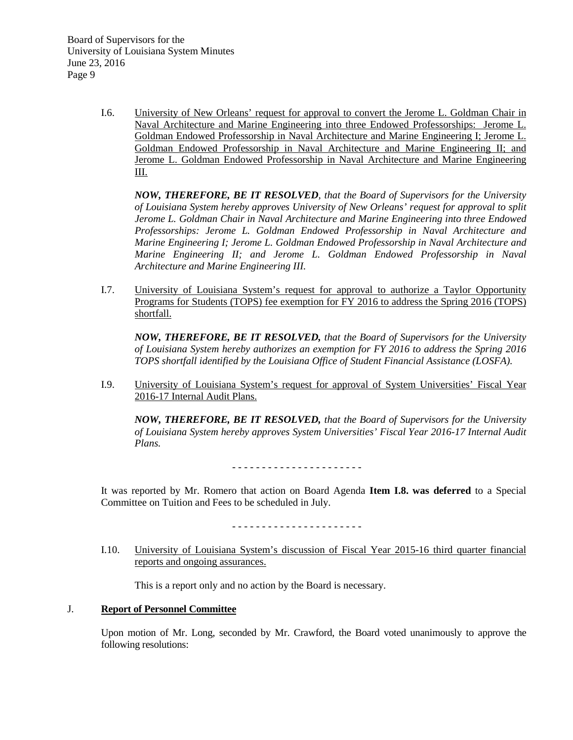I.6. University of New Orleans' request for approval to convert the Jerome L. Goldman Chair in Naval Architecture and Marine Engineering into three Endowed Professorships: Jerome L. Goldman Endowed Professorship in Naval Architecture and Marine Engineering I; Jerome L. Goldman Endowed Professorship in Naval Architecture and Marine Engineering II; and Jerome L. Goldman Endowed Professorship in Naval Architecture and Marine Engineering III.

*NOW, THEREFORE, BE IT RESOLVED, that the Board of Supervisors for the University of Louisiana System hereby approves University of New Orleans' request for approval to split Jerome L. Goldman Chair in Naval Architecture and Marine Engineering into three Endowed Professorships: Jerome L. Goldman Endowed Professorship in Naval Architecture and Marine Engineering I; Jerome L. Goldman Endowed Professorship in Naval Architecture and Marine Engineering II; and Jerome L. Goldman Endowed Professorship in Naval Architecture and Marine Engineering III.*

I.7. University of Louisiana System's request for approval to authorize a Taylor Opportunity Programs for Students (TOPS) fee exemption for FY 2016 to address the Spring 2016 (TOPS) shortfall.

*NOW, THEREFORE, BE IT RESOLVED, that the Board of Supervisors for the University of Louisiana System hereby authorizes an exemption for FY 2016 to address the Spring 2016 TOPS shortfall identified by the Louisiana Office of Student Financial Assistance (LOSFA).*

I.9. University of Louisiana System's request for approval of System Universities' Fiscal Year 2016-17 Internal Audit Plans.

*NOW, THEREFORE, BE IT RESOLVED, that the Board of Supervisors for the University of Louisiana System hereby approves System Universities' Fiscal Year 2016-17 Internal Audit Plans.*

- - - - - - - - - - - - - - - - - - - - - -

It was reported by Mr. Romero that action on Board Agenda **Item I.8. was deferred** to a Special Committee on Tuition and Fees to be scheduled in July.

- - - - - - - - - - - - - - - - - - - - - -

I.10. University of Louisiana System's discussion of Fiscal Year 2015-16 third quarter financial reports and ongoing assurances.

This is a report only and no action by the Board is necessary.

# J. **Report of Personnel Committee**

Upon motion of Mr. Long, seconded by Mr. Crawford, the Board voted unanimously to approve the following resolutions: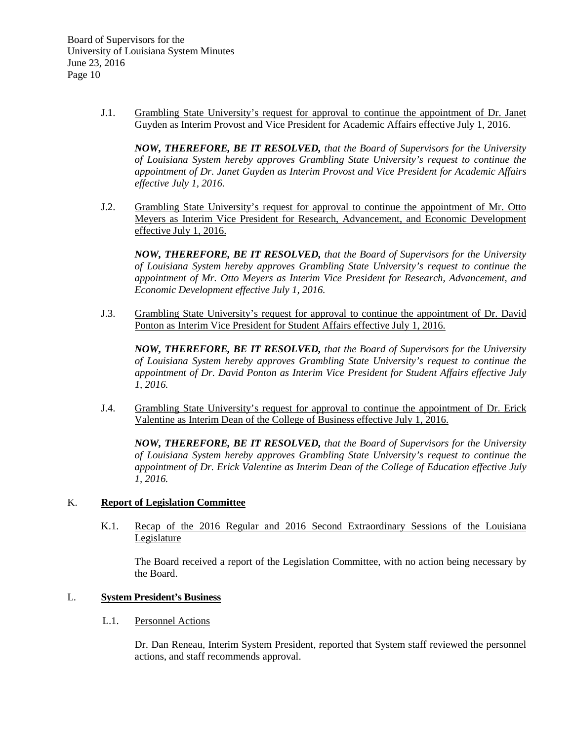J.1. Grambling State University's request for approval to continue the appointment of Dr. Janet Guyden as Interim Provost and Vice President for Academic Affairs effective July 1, 2016.

*NOW, THEREFORE, BE IT RESOLVED, that the Board of Supervisors for the University of Louisiana System hereby approves Grambling State University's request to continue the appointment of Dr. Janet Guyden as Interim Provost and Vice President for Academic Affairs effective July 1, 2016.*

J.2. Grambling State University's request for approval to continue the appointment of Mr. Otto Meyers as Interim Vice President for Research, Advancement, and Economic Development effective July 1, 2016.

*NOW, THEREFORE, BE IT RESOLVED, that the Board of Supervisors for the University of Louisiana System hereby approves Grambling State University's request to continue the appointment of Mr. Otto Meyers as Interim Vice President for Research, Advancement, and Economic Development effective July 1, 2016.*

J.3. Grambling State University's request for approval to continue the appointment of Dr. David Ponton as Interim Vice President for Student Affairs effective July 1, 2016.

*NOW, THEREFORE, BE IT RESOLVED, that the Board of Supervisors for the University of Louisiana System hereby approves Grambling State University's request to continue the appointment of Dr. David Ponton as Interim Vice President for Student Affairs effective July 1, 2016.*

J.4. Grambling State University's request for approval to continue the appointment of Dr. Erick Valentine as Interim Dean of the College of Business effective July 1, 2016.

*NOW, THEREFORE, BE IT RESOLVED, that the Board of Supervisors for the University of Louisiana System hereby approves Grambling State University's request to continue the appointment of Dr. Erick Valentine as Interim Dean of the College of Education effective July 1, 2016.*

# K. **Report of Legislation Committee**

K.1. Recap of the 2016 Regular and 2016 Second Extraordinary Sessions of the Louisiana **Legislature** 

The Board received a report of the Legislation Committee, with no action being necessary by the Board.

# L. **System President's Business**

# L.1. Personnel Actions

Dr. Dan Reneau, Interim System President, reported that System staff reviewed the personnel actions, and staff recommends approval.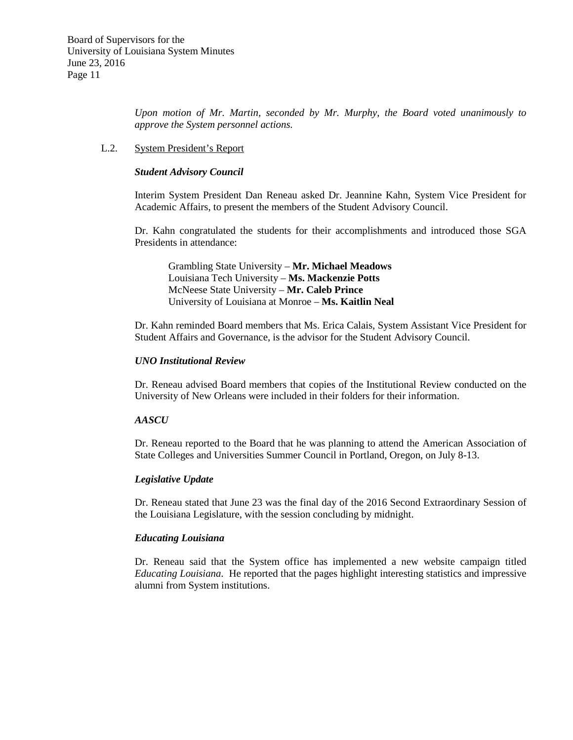*Upon motion of Mr. Martin, seconded by Mr. Murphy, the Board voted unanimously to approve the System personnel actions.*

### L.2. System President's Report

### *Student Advisory Council*

Interim System President Dan Reneau asked Dr. Jeannine Kahn, System Vice President for Academic Affairs, to present the members of the Student Advisory Council.

Dr. Kahn congratulated the students for their accomplishments and introduced those SGA Presidents in attendance:

Grambling State University – **Mr. Michael Meadows** Louisiana Tech University – **Ms. Mackenzie Potts** McNeese State University – **Mr. Caleb Prince** University of Louisiana at Monroe – **Ms. Kaitlin Neal**

Dr. Kahn reminded Board members that Ms. Erica Calais, System Assistant Vice President for Student Affairs and Governance, is the advisor for the Student Advisory Council.

### *UNO Institutional Review*

Dr. Reneau advised Board members that copies of the Institutional Review conducted on the University of New Orleans were included in their folders for their information.

#### *AASCU*

Dr. Reneau reported to the Board that he was planning to attend the American Association of State Colleges and Universities Summer Council in Portland, Oregon, on July 8-13.

#### *Legislative Update*

Dr. Reneau stated that June 23 was the final day of the 2016 Second Extraordinary Session of the Louisiana Legislature, with the session concluding by midnight.

# *Educating Louisiana*

Dr. Reneau said that the System office has implemented a new website campaign titled *Educating Louisiana*. He reported that the pages highlight interesting statistics and impressive alumni from System institutions.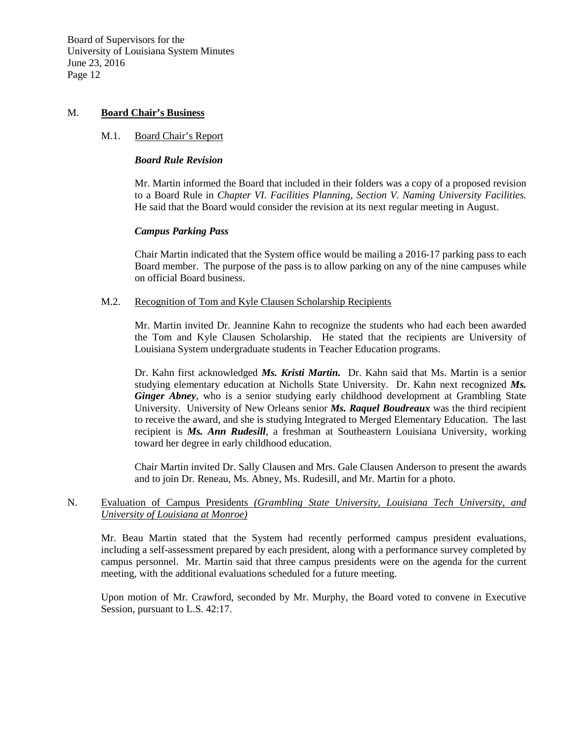# M. **Board Chair's Business**

### M.1. Board Chair's Report

### *Board Rule Revision*

Mr. Martin informed the Board that included in their folders was a copy of a proposed revision to a Board Rule in *Chapter VI. Facilities Planning, Section V. Naming University Facilities.*  He said that the Board would consider the revision at its next regular meeting in August.

# *Campus Parking Pass*

Chair Martin indicated that the System office would be mailing a 2016-17 parking pass to each Board member. The purpose of the pass is to allow parking on any of the nine campuses while on official Board business.

### M.2. Recognition of Tom and Kyle Clausen Scholarship Recipients

Mr. Martin invited Dr. Jeannine Kahn to recognize the students who had each been awarded the Tom and Kyle Clausen Scholarship. He stated that the recipients are University of Louisiana System undergraduate students in Teacher Education programs.

Dr. Kahn first acknowledged *Ms. Kristi Martin.* Dr. Kahn said that Ms. Martin is a senior studying elementary education at Nicholls State University. Dr. Kahn next recognized *Ms.*  **Ginger Abney**, who is a senior studying early childhood development at Grambling State University. University of New Orleans senior *Ms. Raquel Boudreaux* was the third recipient to receive the award, and she is studying Integrated to Merged Elementary Education. The last recipient is *Ms. Ann Rudesill*, a freshman at Southeastern Louisiana University, working toward her degree in early childhood education.

Chair Martin invited Dr. Sally Clausen and Mrs. Gale Clausen Anderson to present the awards and to join Dr. Reneau, Ms. Abney, Ms. Rudesill, and Mr. Martin for a photo.

# N. Evaluation of Campus Presidents *(Grambling State University, Louisiana Tech University, and University of Louisiana at Monroe)*

Mr. Beau Martin stated that the System had recently performed campus president evaluations, including a self-assessment prepared by each president, along with a performance survey completed by campus personnel. Mr. Martin said that three campus presidents were on the agenda for the current meeting, with the additional evaluations scheduled for a future meeting.

Upon motion of Mr. Crawford, seconded by Mr. Murphy, the Board voted to convene in Executive Session, pursuant to L.S. 42:17.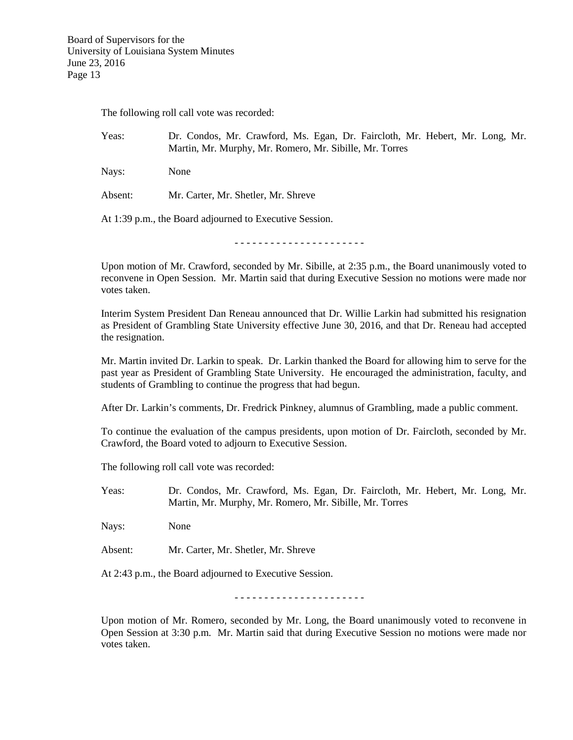The following roll call vote was recorded:

Yeas: Dr. Condos, Mr. Crawford, Ms. Egan, Dr. Faircloth, Mr. Hebert, Mr. Long, Mr. Martin, Mr. Murphy, Mr. Romero, Mr. Sibille, Mr. Torres

Nays: None

Absent: Mr. Carter, Mr. Shetler, Mr. Shreve

At 1:39 p.m., the Board adjourned to Executive Session.

- - - - - - - - - - - - - - - - - - - - - -

Upon motion of Mr. Crawford, seconded by Mr. Sibille, at 2:35 p.m., the Board unanimously voted to reconvene in Open Session. Mr. Martin said that during Executive Session no motions were made nor votes taken.

Interim System President Dan Reneau announced that Dr. Willie Larkin had submitted his resignation as President of Grambling State University effective June 30, 2016, and that Dr. Reneau had accepted the resignation.

Mr. Martin invited Dr. Larkin to speak. Dr. Larkin thanked the Board for allowing him to serve for the past year as President of Grambling State University. He encouraged the administration, faculty, and students of Grambling to continue the progress that had begun.

After Dr. Larkin's comments, Dr. Fredrick Pinkney, alumnus of Grambling, made a public comment.

To continue the evaluation of the campus presidents, upon motion of Dr. Faircloth, seconded by Mr. Crawford, the Board voted to adjourn to Executive Session.

The following roll call vote was recorded:

Yeas: Dr. Condos, Mr. Crawford, Ms. Egan, Dr. Faircloth, Mr. Hebert, Mr. Long, Mr. Martin, Mr. Murphy, Mr. Romero, Mr. Sibille, Mr. Torres

Nays: None

Absent: Mr. Carter, Mr. Shetler, Mr. Shreve

At 2:43 p.m., the Board adjourned to Executive Session.

- - - - - - - - - - - - - - - - - - - - - -

Upon motion of Mr. Romero, seconded by Mr. Long, the Board unanimously voted to reconvene in Open Session at 3:30 p.m. Mr. Martin said that during Executive Session no motions were made nor votes taken.